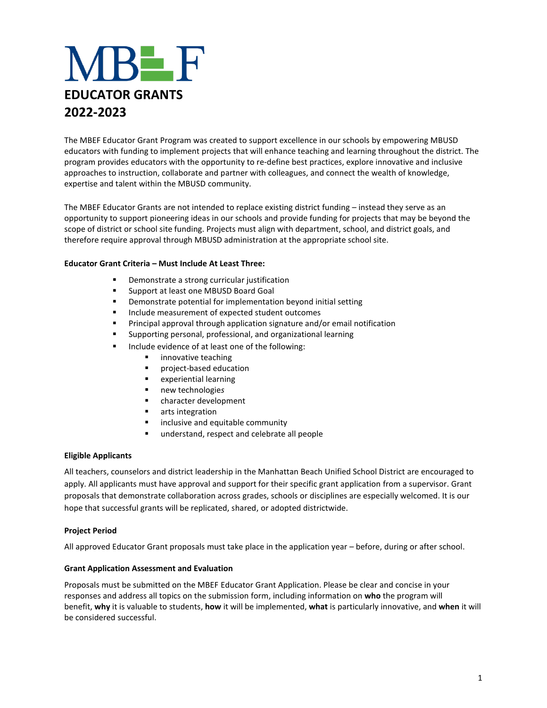# **VIBE F EDUCATOR GRANTS 2022-2023**

The MBEF Educator Grant Program was created to support excellence in our schools by empowering MBUSD educators with funding to implement projects that will enhance teaching and learning throughout the district. The program provides educators with the opportunity to re-define best practices, explore innovative and inclusive approaches to instruction, collaborate and partner with colleagues, and connect the wealth of knowledge, expertise and talent within the MBUSD community.

The MBEF Educator Grants are not intended to replace existing district funding – instead they serve as an opportunity to support pioneering ideas in our schools and provide funding for projects that may be beyond the scope of district or school site funding. Projects must align with department, school, and district goals, and therefore require approval through MBUSD administration at the appropriate school site.

## **Educator Grant Criteria – Must Include At Least Three:**

- Demonstrate a strong curricular justification
- Support at least one MBUSD Board Goal
- Demonstrate potential for implementation beyond initial setting
- Include measurement of expected student outcomes
- Principal approval through application signature and/or email notification
- Supporting personal, professional, and organizational learning
- Include evidence of at least one of the following:
	- innovative teaching
	- project-based education
	- experiential learning
	- new technologie*s*
	- character development
	- arts integration
	- inclusive and equitable community
	- understand, respect and celebrate all people

## **Eligible Applicants**

All teachers, counselors and district leadership in the Manhattan Beach Unified School District are encouraged to apply. All applicants must have approval and support for their specific grant application from a supervisor. Grant proposals that demonstrate collaboration across grades, schools or disciplines are especially welcomed. It is our hope that successful grants will be replicated, shared, or adopted districtwide.

## **Project Period**

All approved Educator Grant proposals must take place in the application year – before, during or after school.

## **Grant Application Assessment and Evaluation**

Proposals must be submitted on the MBEF Educator Grant Application. Please be clear and concise in your responses and address all topics on the submission form, including information on **who** the program will benefit, **why** it is valuable to students, **how** it will be implemented, **what** is particularly innovative, and **when** it will be considered successful.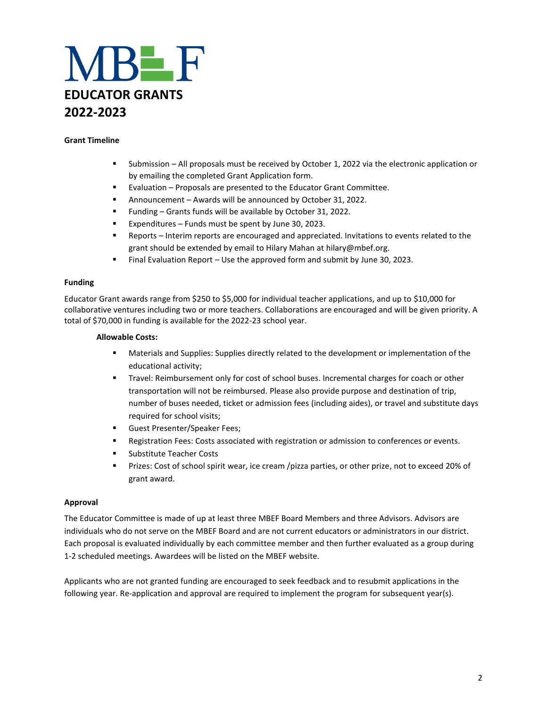

### **Grant Timeline**

- Submission All proposals must be received by October 1, 2022 via the electronic application or by emailing the completed Grant Application form.
- Evaluation Proposals are presented to the Educator Grant Committee.
- Announcement Awards will be announced by October 31, 2022.
- Funding Grants funds will be available by October 31, 2022.
- Expenditures Funds must be spent by June 30, 2023.
- Reports Interim reports are encouraged and appreciated. Invitations to events related to the grant should be extended by email to Hilary Mahan at hilary@mbef.org.
- Final Evaluation Report Use the approved form and submit by June 30, 2023.

#### **Funding**

Educator Grant awards range from \$250 to \$5,000 for individual teacher applications, and up to \$10,000 for collaborative ventures including two or more teachers. Collaborations are encouraged and will be given priority. A total of \$70,000 in funding is available for the 2022-23 school year.

#### **Allowable Costs:**

- **■** Materials and Supplies: Supplies directly related to the development or implementation of the educational activity;
- **■** Travel: Reimbursement only for cost of school buses. Incremental charges for coach or other transportation will not be reimbursed. Please also provide purpose and destination of trip, number of buses needed, ticket or admission fees (including aides), or travel and substitute days required for school visits;
- **■** Guest Presenter/Speaker Fees;
- Registration Fees: Costs associated with registration or admission to conferences or events.
- Substitute Teacher Costs
- Prizes: Cost of school spirit wear, ice cream /pizza parties, or other prize, not to exceed 20% of grant award.

#### **Approval**

The Educator Committee is made of up at least three MBEF Board Members and three Advisors. Advisors are individuals who do not serve on the MBEF Board and are not current educators or administrators in our district. Each proposal is evaluated individually by each committee member and then further evaluated as a group during 1-2 scheduled meetings. Awardees will be listed on the MBEF website.

Applicants who are not granted funding are encouraged to seek feedback and to resubmit applications in the following year. Re-application and approval are required to implement the program for subsequent year(s).